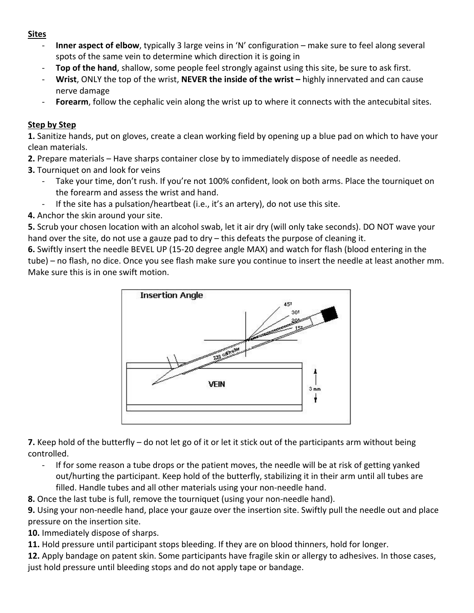### **Sites**

- **Inner aspect of elbow**, typically 3 large veins in 'N' configuration make sure to feel along several spots of the same vein to determine which direction it is going in
- Top of the hand, shallow, some people feel strongly against using this site, be sure to ask first.
- **Wrist**, ONLY the top of the wrist, **NEVER the inside of the wrist –** highly innervated and can cause nerve damage
- Forearm, follow the cephalic vein along the wrist up to where it connects with the antecubital sites.

# **Step by Step**

**1.** Sanitize hands, put on gloves, create a clean working field by opening up a blue pad on which to have your clean materials.

- **2.** Prepare materials Have sharps container close by to immediately dispose of needle as needed.
- **3.** Tourniquet on and look for veins
	- Take your time, don't rush. If you're not 100% confident, look on both arms. Place the tourniquet on the forearm and assess the wrist and hand.
	- If the site has a pulsation/heartbeat (i.e., it's an artery), do not use this site.
- **4.** Anchor the skin around your site.

**5.** Scrub your chosen location with an alcohol swab, let it air dry (will only take seconds). DO NOT wave your hand over the site, do not use a gauze pad to dry – this defeats the purpose of cleaning it.

**6.** Swiftly insert the needle BEVEL UP (15-20 degree angle MAX) and watch for flash (blood entering in the tube) – no flash, no dice. Once you see flash make sure you continue to insert the needle at least another mm. Make sure this is in one swift motion.



**7.** Keep hold of the butterfly – do not let go of it or let it stick out of the participants arm without being controlled.

If for some reason a tube drops or the patient moves, the needle will be at risk of getting yanked out/hurting the participant. Keep hold of the butterfly, stabilizing it in their arm until all tubes are filled. Handle tubes and all other materials using your non-needle hand.

**8.** Once the last tube is full, remove the tourniquet (using your non-needle hand).

**9.** Using your non-needle hand, place your gauze over the insertion site. Swiftly pull the needle out and place pressure on the insertion site.

**10.** Immediately dispose of sharps.

**11.** Hold pressure until participant stops bleeding. If they are on blood thinners, hold for longer.

**12.** Apply bandage on patent skin. Some participants have fragile skin or allergy to adhesives. In those cases, just hold pressure until bleeding stops and do not apply tape or bandage.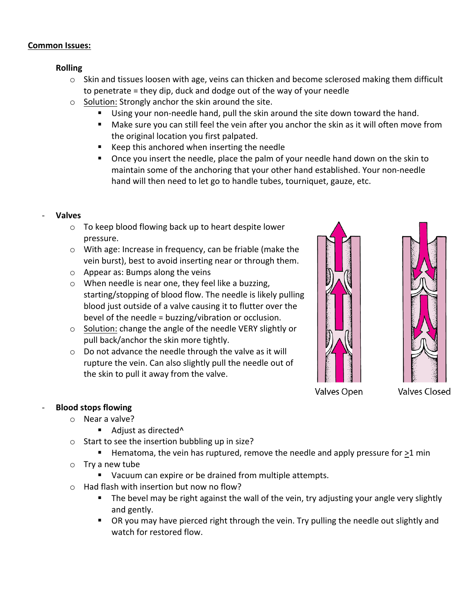### **Common Issues:**

## **Rolling**

- $\circ$  Skin and tissues loosen with age, veins can thicken and become sclerosed making them difficult to penetrate = they dip, duck and dodge out of the way of your needle
- o Solution: Strongly anchor the skin around the site.
	- Using your non-needle hand, pull the skin around the site down toward the hand.
	- Make sure you can still feel the vein after you anchor the skin as it will often move from the original location you first palpated.
	- Keep this anchored when inserting the needle
	- Once you insert the needle, place the palm of your needle hand down on the skin to maintain some of the anchoring that your other hand established. Your non-needle hand will then need to let go to handle tubes, tourniquet, gauze, etc.

## - **Valves**

- o To keep blood flowing back up to heart despite lower pressure.
- o With age: Increase in frequency, can be friable (make the vein burst), best to avoid inserting near or through them.
- o Appear as: Bumps along the veins
- o When needle is near one, they feel like a buzzing, starting/stopping of blood flow. The needle is likely pulling blood just outside of a valve causing it to flutter over the bevel of the needle = buzzing/vibration or occlusion.
- o Solution: change the angle of the needle VERY slightly or pull back/anchor the skin more tightly.
- o Do not advance the needle through the valve as it will rupture the vein. Can also slightly pull the needle out of the skin to pull it away from the valve.





Valves Open

**Valves Closed** 

### - **Blood stops flowing**

- o Near a valve?
	- Adjust as directed<sup>^</sup>
- o Start to see the insertion bubbling up in size?
	- Hematoma, the vein has ruptured, remove the needle and apply pressure for >1 min
- o Try a new tube
	- Vacuum can expire or be drained from multiple attempts.
- o Had flash with insertion but now no flow?
	- The bevel may be right against the wall of the vein, try adjusting your angle very slightly and gently.
	- OR you may have pierced right through the vein. Try pulling the needle out slightly and watch for restored flow.